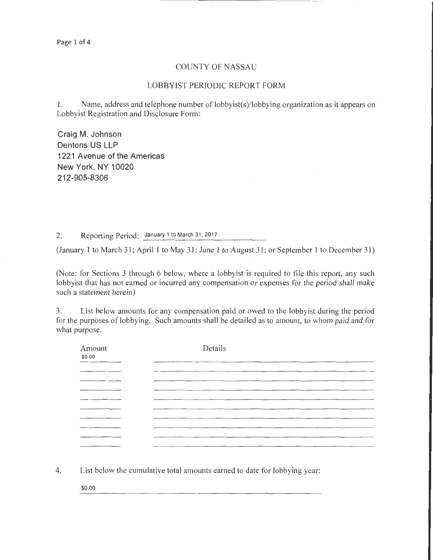## COUNTY OF NASSAU

## LOBBYIST PERIODIC REPORT FORM

**1.** Name, address and telephone number of lobbyist(s)/lobbying organization as it appears on Lobbyist Registration and Disclosure Form:

**Craig M. Johnson Dentons US LLP 1221 Avenue of the Americas New York, NY 1 0020 212-905-8306** 

2. Reporting Period: January 1 to March 31 , 2017

(January **1** to March 31; April **1** to May 31; June **1** to August 31 ; or September I to December 31)

(Note: for Sections 3 through 6 below, where a lobbyist is required to file this report, any such lobbyist that has not earned or incurred any compensation or expenses for the period shall make such a statement herein)

3. List below amounts for any compensation paid or owed to the lobbyist during the period for the purposes of lobbying. Such amounts shall be detailed as to amount, to whom paid and for what purpose.

| Amount<br>\$0.00 | Details |
|------------------|---------|
|                  |         |
|                  |         |
|                  |         |
|                  |         |

4. List below the cumulative total amounts earned to date for lobbying year:

\$0.00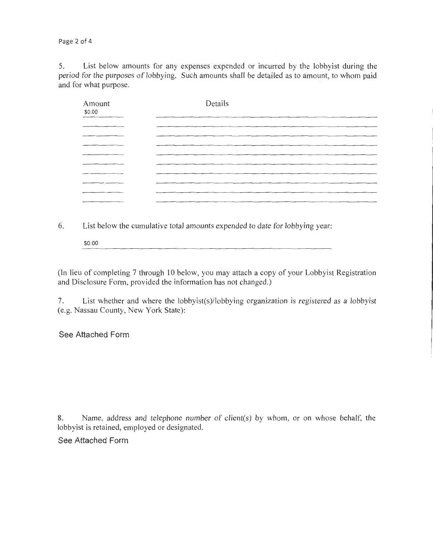Page 2 of 4

5. List below amounts for any expenses expended or incurred by the lobbyist during the period for the purposes of lobbying. Such amounts shall be detailed as to amount, to whom paid and for what purpose.

| Amount<br>\$0.00 | Details |
|------------------|---------|
|                  |         |
|                  |         |
|                  |         |
|                  | $\sim$  |
|                  |         |
|                  |         |
|                  |         |
|                  |         |
|                  |         |

6. List below the cumulative total amounts expended to date for lobbying year:

\$0.00

(In lieu of completing 7 through 10 below, you may attach a copy of your Lobbyist Registration and Disclosure Form, provided the information has not changed.)

7. List whether and where the lobbyist(s)/lobbying organization is registered as a lobbyist (e.g. Nassau County, New York State):

See Attached Form

8. Name, address and telephone number of client(s) by whom, or on whose behalf, the lobbyist is retained, employed or designated.

See Attached Form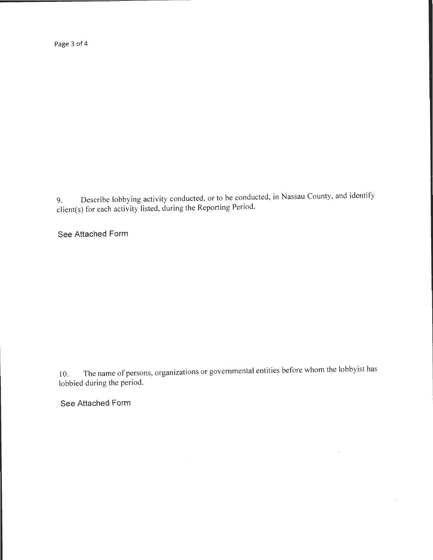Page 3 of 4

9. Describe lobbying activity conducted, or to be conducted, in Nassau County, and identify client(s) for each activity listed, during the Reporting Period.

**See Attached Form** 

10. The name of persons, organizations or governmental entities before whom the lobbyist has lobbied during the period.

**See Attached Form**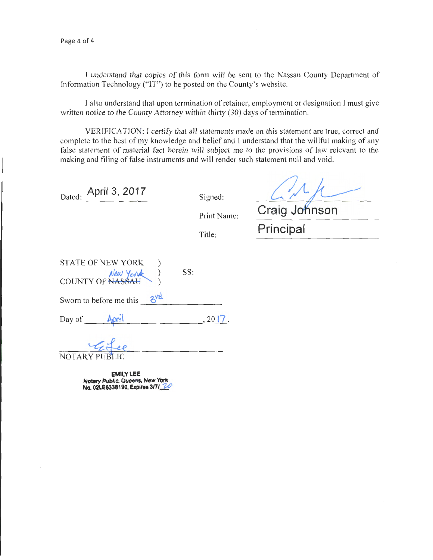I understand that copies of this form will be sent to the Nassau County Department of Information Technology ("IT") to be posted on the County's website.

I also understand that upon termination of retainer, employment or designation I must give written notice to the County Attorney within thirty (30) days of termination.

VERIFICATION: I certify that all statements made on this statement are true, correct and complete to the best of my knowledge and belief and I understand that the willful making of any false statement of material fact herein will subject me to the provisions of law relevant to the making and filing of false instruments and will render such statement null and void.

| April 3, 2017<br>Dated:                      | Signed:     |
|----------------------------------------------|-------------|
|                                              | Print Name: |
|                                              | Title:      |
| <b>STATE OF NEW YORK</b><br>COUNTY OF NASSAU | SS:         |
| 3 <sup>yd</sup><br>Sworn to before me this   |             |

 $Day of$   $April$ ,  $2017$ .

NOTARY PUB

**EMILY LEE Notary Public, Queens, New York No. 02LE6338190, Expires** 3nl *W* 

Craig Johnson **Principal**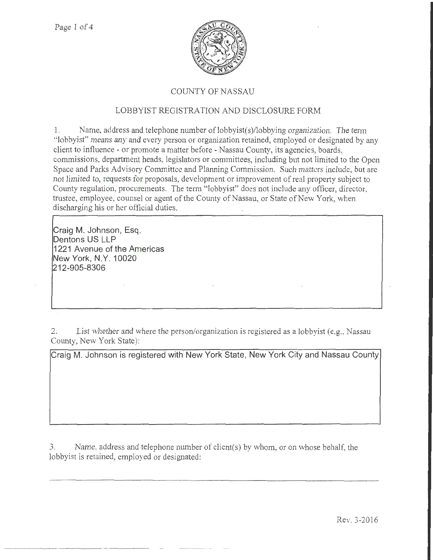

## COUNTY OF NASSAU

## LOBBYIST REGISTRATION AND DISCLOSURE FORM

1. Name, address and telephone number of lobbyist(s)/lobbying organization. The term "lobbyist'' means any and every person or organization retained, employed or designated by any client to influence- or promote a matter before- Nassau County, its agencies, boards, commissions, department heads, legislators or committees, including but not limited to the Open Space and Parks Advisory Committee and Planning Commission. Such matters include, but are not limited to, requests for proposals, development or improvement of real property subject to County regulation, procurements. The term "lobbyist" does not include any officer, director, trustee, employee, counsel or agent of the County of Nassau, or State of New York, when discharging his or her official duties.

**Craig M. Johnson, Esq . Dentons US LLP 1221 Avenue of the Americas New York, N.Y. 10020 212-905-8306** 

2. List whether and where the person/organization is registered as a lobbyist (e.g., Nassau County, New York State):

**Craig M. Johnson is registered with New York State, New York City and Nassau County** 

3. Name, address and telephone number of client(s) by whom, or on whose behalf, the lobbyist is retained, employed or designated: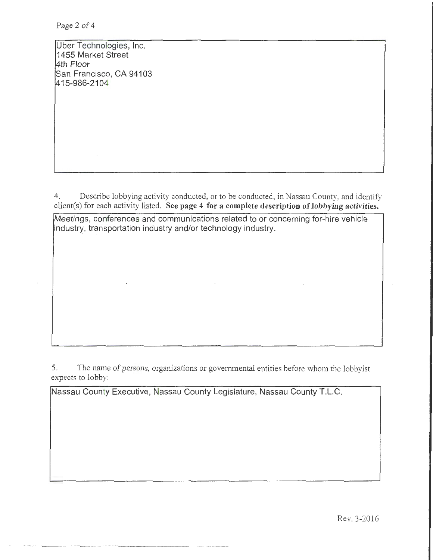Uber Technologies, Inc. 1455 Market Street 4th Floor San Francisco, CA 94103 1415-986-2104

4. Describe lobbying activity conducted, or to be conducted, in Nassau County, and identify  $client(s)$  for each activity listed. See page 4 for a complete description of lobbying activities.

Meetings, conferences and communications related to or concerning for-hire vehicle industry, transportation industry and/or technology industry.

5. The name of persons, organizations or governmental entities before whom the lobbyist expects to lobby:

Nassau County Executive, Nassau County Legislature, Nassau County T.L.C.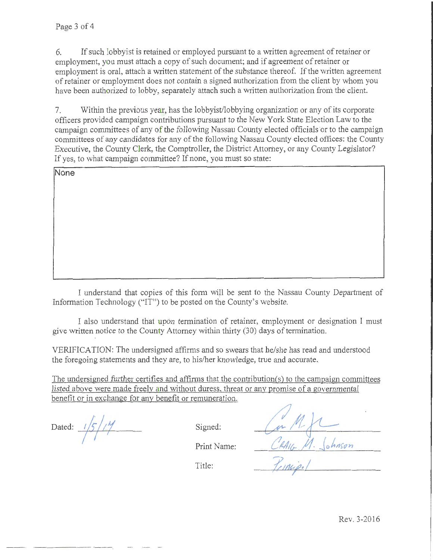6. If such lobbyist is retained or employed pursuant to a written agreement of retainer or employment, you must attach a copy of such document; and if agreement of retainer or employment is oral, attach a written statement of the substance thereof. If the written agreement of retainer or employment does not contain a signed authorization from the client by whom you have been authorized to lobby, separately attach such a written authorization from the client.

7. Within the previous year, has the lobbyist/lobbying organization or any of its corporate officers provided campaign contributions pursuant to the New York State Election Law to the campaign committees of any of the following Nassau County elected officials or to the campaign committees of any candidates for any of the following Nassau County elected offices: the County Executive, the County Clerk, the Comptroller, the District Attorney, or any County Legislator? If yes, to what campaign committee? If none, you must so state:

**None** 

I understand that copies of this form will be sent to the Nassau County Department of Information Technology ("IT") to be posted on the County's website.

I also understand that upon termination of retainer, employment or designation I must give written notice to the County Attorney within thirty (30) days of termination.

VERlFICATION: The undersigned affirms and so swears that he/she has read and understood the foregoing statements and they are, to his/her knowledge, true and accurate.

The undersigned further certifies and affirms that the contribution(s) to the campaign committees listed above were made freelv and without duress. threat or any promise of a governmental benefit or in exchange for any benefit or remuneration.

Dated: <sup>1</sup>/5//<sup>1</sup>/

Signed:

Print Name:

Title:

| RAI<br>Johnson |  |
|----------------|--|
| $r$ Incipa     |  |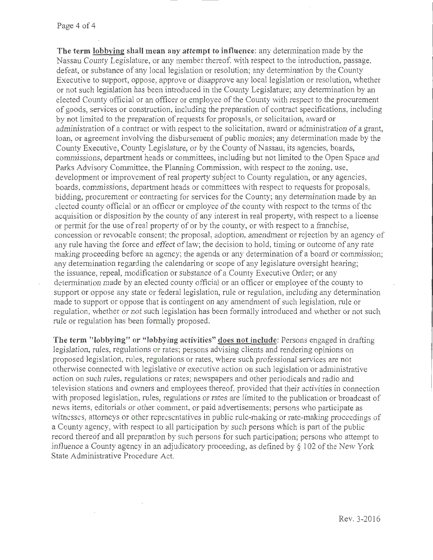**The term lobbying shall mean any attempt to influence:** any determination made by the Nassau County Legislature, or any member thereof, with respect to the introduction, passage, defeat, or substance of any local legislation or resolution; any determination by the County Executive to support, oppose, approve or disapprove any local legislation or resolution, whether or not such legislation has been introduced in the County Legislature; any determination by an elected County official or an officer or employee of the County with respect to the procurement of goods, services or construction, including the preparation of contract specifications, including by not limited to the preparation of requests for proposals, or solicitation, award or administration of a contract or with respect to the solicitation, award or administration of a grant, loan, or agreement involving the disbursement of public monies; any determination made by the County Executive, County Legislature, or by the County of Nassau, its agencies, boards, commissions, department heads or committees, including but not limited to the Open Space and Parks Advisory Committee, the Planning Commission, wilh respect to the zoning, use, development or improvement of real property subject to County regulation, or any agencies, boards, commissions, department heads or committees with respect to requests for proposals, bidding, procurement or contracting for services for the County; any determination made by an elected county official or an officer or employee of the county with respect to the tenns of the acquisition or disposition by the county of any interest in real property, with respect to a license or permit for the use of real property of or by the county, or with respect to a franchise, concession or revocable consent; the proposal, adoption, amendment or rejection by an agency of any rule having the force and effect oflaw; the decision to hold, timing or outcome of any rate making proceeding before an agency; the agenda or any determination of a board or commission; any determination regarding the calendaring or scope of any legislature oversight hearing; the issuance, repeal, modification or substance of a County Executive Order; or any determination made by an elected county official or an officer or employee of the county to support or oppose any state or federal legislation, rule or regulation, including any determination made to support or oppose that is contingent on any amendment of such legislation, rule or regulation, whether or not such legislation has been formally introduced and whether or not such rule or regulation has been formally proposed.

**The term "lobbying" or "lobbying activities" does not include:** Persons engaged in drafting legislation, rules, regulations or rates; persons advising clients and rendering opinions on proposed legislation, rules, regulations or rates, where such professional services are not otherwise connected with legislative or executive action on such legislation or administrative action on such rules, regulations or rates; newspapers and other periodicals and radio and television stations and owners and employees thereof, provided that their activities in connection with proposed legislation, rules, regulations or rates are limited to the publication or broadcast of news items, editorials or other comment, or paid advertisements; persons who participate as witnesses, attorneys or other representatives in public rule-making or rate-making proceedings of a County agency, with respect to all participation by such persons which is part of the public record thereof and all preparation by such persons for such participation; persons who attempt to influence a County agency in an adjudicatory proceeding, as defined by§ 102 of the New York State Administrative Procedure Act.